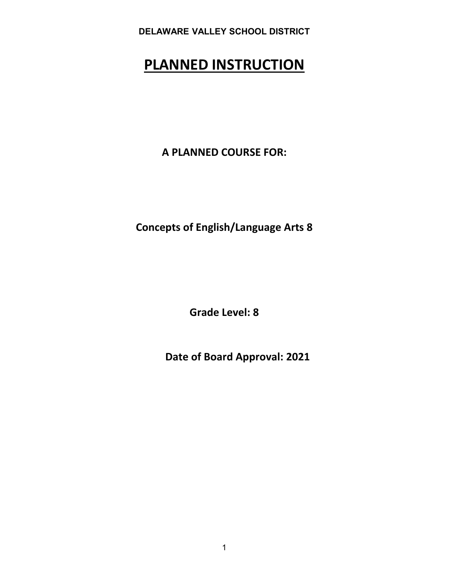# **PLANNED INSTRUCTION**

**A PLANNED COURSE FOR:**

**Concepts of English/Language Arts 8** 

**Grade Level: 8** 

**Date of Board Approval: 2021**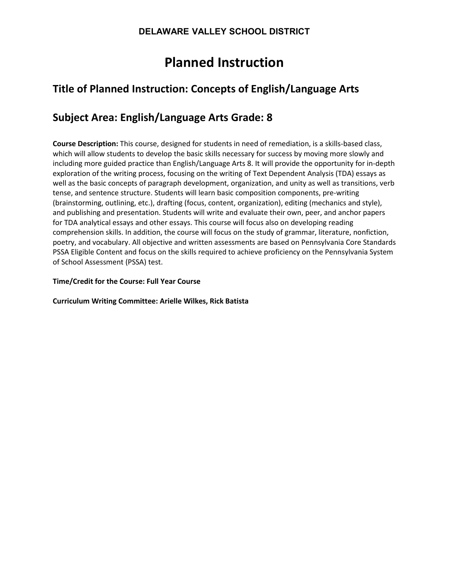# **Planned Instruction**

# **Title of Planned Instruction: Concepts of English/Language Arts**

# **Subject Area: English/Language Arts Grade: 8**

**Course Description:** This course, designed for students in need of remediation, is a skills-based class, which will allow students to develop the basic skills necessary for success by moving more slowly and including more guided practice than English/Language Arts 8. It will provide the opportunity for in-depth exploration of the writing process, focusing on the writing of Text Dependent Analysis (TDA) essays as well as the basic concepts of paragraph development, organization, and unity as well as transitions, verb tense, and sentence structure. Students will learn basic composition components, pre-writing (brainstorming, outlining, etc.), drafting (focus, content, organization), editing (mechanics and style), and publishing and presentation. Students will write and evaluate their own, peer, and anchor papers for TDA analytical essays and other essays. This course will focus also on developing reading comprehension skills. In addition, the course will focus on the study of grammar, literature, nonfiction, poetry, and vocabulary. All objective and written assessments are based on Pennsylvania Core Standards PSSA Eligible Content and focus on the skills required to achieve proficiency on the Pennsylvania System of School Assessment (PSSA) test.

#### **Time/Credit for the Course: Full Year Course**

**Curriculum Writing Committee: Arielle Wilkes, Rick Batista**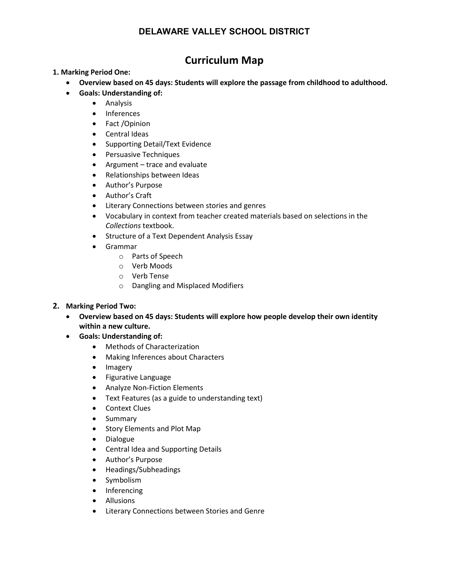# **Curriculum Map**

#### **1. Marking Period One:**

- **Overview based on 45 days: Students will explore the passage from childhood to adulthood.**
- **Goals: Understanding of:**
	- Analysis
	- Inferences
	- Fact /Opinion
	- Central Ideas
	- Supporting Detail/Text Evidence
	- Persuasive Techniques
	- Argument trace and evaluate
	- Relationships between Ideas
	- Author's Purpose
	- Author's Craft
	- Literary Connections between stories and genres
	- Vocabulary in context from teacher created materials based on selections in the *Collections* textbook.
	- Structure of a Text Dependent Analysis Essay
	- Grammar
		- o Parts of Speech
		- o Verb Moods
		- o Verb Tense
		- o Dangling and Misplaced Modifiers

#### **2. Marking Period Two:**

- **Overview based on 45 days: Students will explore how people develop their own identity within a new culture.**
- **Goals: Understanding of:**
	- Methods of Characterization
	- Making Inferences about Characters
	- Imagery
	- Figurative Language
	- Analyze Non-Fiction Elements
	- Text Features (as a guide to understanding text)
	- Context Clues
	- Summary
	- Story Elements and Plot Map
	- Dialogue
	- Central Idea and Supporting Details
	- Author's Purpose
	- Headings/Subheadings
	- Symbolism
	- Inferencing
	- Allusions
	- Literary Connections between Stories and Genre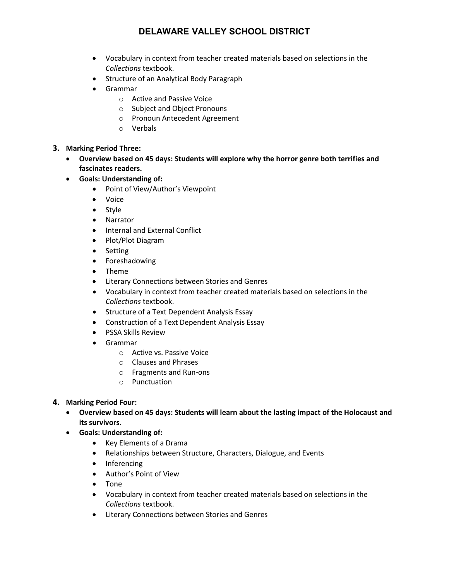- Vocabulary in context from teacher created materials based on selections in the *Collections* textbook.
- Structure of an Analytical Body Paragraph
- Grammar
	- o Active and Passive Voice
	- o Subject and Object Pronouns
	- o Pronoun Antecedent Agreement
	- o Verbals
- **3. Marking Period Three:**
	- **Overview based on 45 days: Students will explore why the horror genre both terrifies and fascinates readers.**
	- **Goals: Understanding of:**
		- Point of View/Author's Viewpoint
		- Voice
		- Style
		- Narrator
		- Internal and External Conflict
		- Plot/Plot Diagram
		- Setting
		- Foreshadowing
		- Theme
		- Literary Connections between Stories and Genres
		- Vocabulary in context from teacher created materials based on selections in the *Collections* textbook.
		- Structure of a Text Dependent Analysis Essay
		- Construction of a Text Dependent Analysis Essay
		- PSSA Skills Review
		- Grammar
			- o Active vs. Passive Voice
			- o Clauses and Phrases
			- o Fragments and Run-ons
			- o Punctuation

#### **4. Marking Period Four:**

- **Overview based on 45 days: Students will learn about the lasting impact of the Holocaust and its survivors.**
- **Goals: Understanding of:**
	- Key Elements of a Drama
	- Relationships between Structure, Characters, Dialogue, and Events
	- Inferencing
	- Author's Point of View
	- Tone
	- Vocabulary in context from teacher created materials based on selections in the *Collections* textbook.
	- Literary Connections between Stories and Genres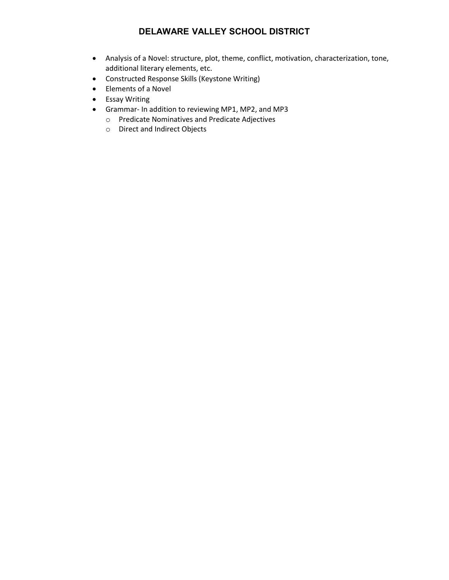- Analysis of a Novel: structure, plot, theme, conflict, motivation, characterization, tone, additional literary elements, etc.
- Constructed Response Skills (Keystone Writing)
- Elements of a Novel
- Essay Writing
- Grammar- In addition to reviewing MP1, MP2, and MP3
	- o Predicate Nominatives and Predicate Adjectives
	- o Direct and Indirect Objects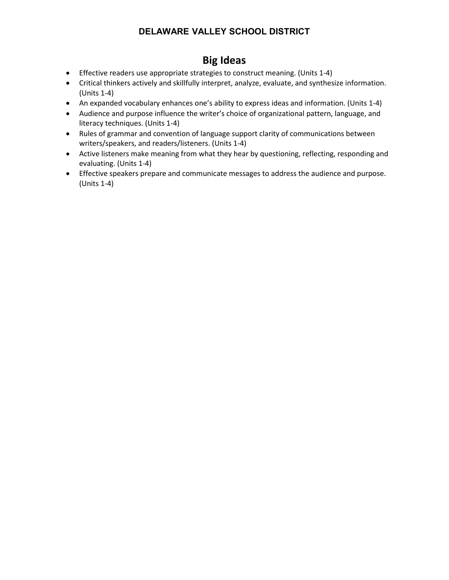# **Big Ideas**

- Effective readers use appropriate strategies to construct meaning. (Units 1-4)
- Critical thinkers actively and skillfully interpret, analyze, evaluate, and synthesize information. (Units 1-4)
- An expanded vocabulary enhances one's ability to express ideas and information. (Units 1-4)
- Audience and purpose influence the writer's choice of organizational pattern, language, and literacy techniques. (Units 1-4)
- Rules of grammar and convention of language support clarity of communications between writers/speakers, and readers/listeners. (Units 1-4)
- Active listeners make meaning from what they hear by questioning, reflecting, responding and evaluating. (Units 1-4)
- Effective speakers prepare and communicate messages to address the audience and purpose. (Units 1-4)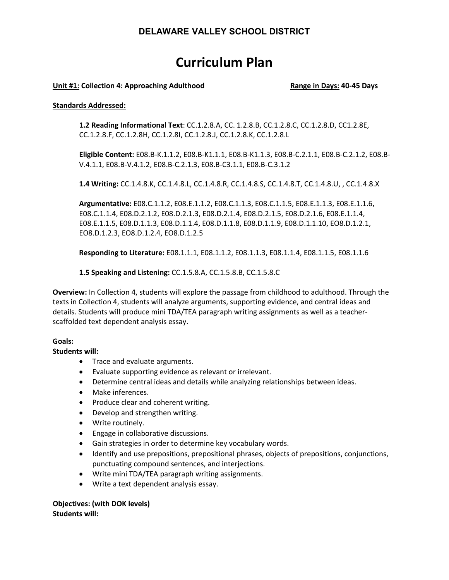# **Curriculum Plan**

#### **Unit #1: Collection 4: Approaching Adulthood Range in Days: 40-45 Days**

#### **Standards Addressed:**

**1.2 Reading Informational Text**: CC.1.2.8.A, CC. 1.2.8.B, CC.1.2.8.C, CC.1.2.8.D, CC1.2.8E, CC.1.2.8.F, CC.1.2.8H, CC.1.2.8I, CC.1.2.8.J, CC.1.2.8.K, CC.1.2.8.L

**Eligible Content:** E08.B-K.1.1.2, E08.B-K1.1.1, E08.B-K1.1.3, E08.B-C.2.1.1, E08.B-C.2.1.2, E08.B-V.4.1.1, E08.B-V.4.1.2, E08.B-C.2.1.3, E08.B-C3.1.1, E08.B-C.3.1.2

**1.4 Writing:** CC.1.4.8.K, CC.1.4.8.L, CC.1.4.8.R, CC.1.4.8.S, CC.1.4.8.T, CC.1.4.8.U, , CC.1.4.8.X

**Argumentative:** E08.C.1.1.2, E08.E.1.1.2, E08.C.1.1.3, E08.C.1.1.5, E08.E.1.1.3, E08.E.1.1.6, E08.C.1.1.4, E08.D.2.1.2, E08.D.2.1.3, E08.D.2.1.4, E08.D.2.1.5, E08.D.2.1.6, E08.E.1.1.4, E08.E.1.1.5, E08.D.1.1.3, E08.D.1.1.4, E08.D.1.1.8, E08.D.1.1.9, E08.D.1.1.10, EO8.D.1.2.1, EO8.D.1.2.3, EO8.D.1.2.4, EO8.D.1.2.5

**Responding to Literature:** E08.1.1.1, E08.1.1.2, E08.1.1.3, E08.1.1.4, E08.1.1.5, E08.1.1.6

**1.5 Speaking and Listening:** CC.1.5.8.A, CC.1.5.8.B, CC.1.5.8.C

**Overview:** In Collection 4, students will explore the passage from childhood to adulthood. Through the texts in Collection 4, students will analyze arguments, supporting evidence, and central ideas and details. Students will produce mini TDA/TEA paragraph writing assignments as well as a teacherscaffolded text dependent analysis essay.

#### **Goals:**

**Students will:**

- Trace and evaluate arguments.
- Evaluate supporting evidence as relevant or irrelevant.
- Determine central ideas and details while analyzing relationships between ideas.
- Make inferences.
- Produce clear and coherent writing.
- Develop and strengthen writing.
- Write routinely.
- Engage in collaborative discussions.
- Gain strategies in order to determine key vocabulary words.
- Identify and use prepositions, prepositional phrases, objects of prepositions, conjunctions, punctuating compound sentences, and interjections.
- Write mini TDA/TEA paragraph writing assignments.
- Write a text dependent analysis essay.

**Objectives: (with DOK levels) Students will:**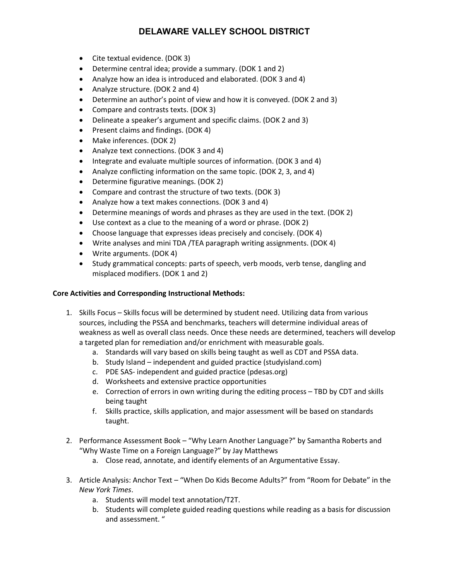- Cite textual evidence. (DOK 3)
- Determine central idea; provide a summary. (DOK 1 and 2)
- Analyze how an idea is introduced and elaborated. (DOK 3 and 4)
- Analyze structure. (DOK 2 and 4)
- Determine an author's point of view and how it is conveyed. (DOK 2 and 3)
- Compare and contrasts texts. (DOK 3)
- Delineate a speaker's argument and specific claims. (DOK 2 and 3)
- Present claims and findings. (DOK 4)
- Make inferences. (DOK 2)
- Analyze text connections. (DOK 3 and 4)
- Integrate and evaluate multiple sources of information. (DOK 3 and 4)
- Analyze conflicting information on the same topic. (DOK 2, 3, and 4)
- Determine figurative meanings. (DOK 2)
- Compare and contrast the structure of two texts. (DOK 3)
- Analyze how a text makes connections. (DOK 3 and 4)
- Determine meanings of words and phrases as they are used in the text. (DOK 2)
- Use context as a clue to the meaning of a word or phrase. (DOK 2)
- Choose language that expresses ideas precisely and concisely. (DOK 4)
- Write analyses and mini TDA /TEA paragraph writing assignments. (DOK 4)
- Write arguments. (DOK 4)
- Study grammatical concepts: parts of speech, verb moods, verb tense, dangling and misplaced modifiers. (DOK 1 and 2)

#### **Core Activities and Corresponding Instructional Methods:**

- 1. Skills Focus Skills focus will be determined by student need. Utilizing data from various sources, including the PSSA and benchmarks, teachers will determine individual areas of weakness as well as overall class needs. Once these needs are determined, teachers will develop a targeted plan for remediation and/or enrichment with measurable goals.
	- a. Standards will vary based on skills being taught as well as CDT and PSSA data.
	- b. Study Island independent and guided practice (studyisland.com)
	- c. PDE SAS- independent and guided practice (pdesas.org)
	- d. Worksheets and extensive practice opportunities
	- e. Correction of errors in own writing during the editing process TBD by CDT and skills being taught
	- f. Skills practice, skills application, and major assessment will be based on standards taught.
- 2. Performance Assessment Book "Why Learn Another Language?" by Samantha Roberts and "Why Waste Time on a Foreign Language?" by Jay Matthews
	- a. Close read, annotate, and identify elements of an Argumentative Essay.
- 3. Article Analysis: Anchor Text "When Do Kids Become Adults?" from "Room for Debate" in the *New York Times*.
	- a. Students will model text annotation/T2T.
	- b. Students will complete guided reading questions while reading as a basis for discussion and assessment. "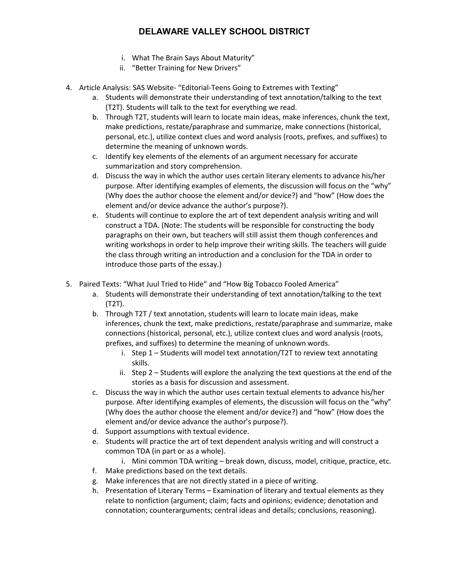- i. What The Brain Says About Maturity"
- ii. "Better Training for New Drivers"
- 4. Article Analysis: SAS Website- "Editorial-Teens Going to Extremes with Texting"
	- a. Students will demonstrate their understanding of text annotation/talking to the text (T2T). Students will talk to the text for everything we read.
	- b. Through T2T, students will learn to locate main ideas, make inferences, chunk the text, make predictions, restate/paraphrase and summarize, make connections (historical, personal, etc.), utilize context clues and word analysis (roots, prefixes, and suffixes) to determine the meaning of unknown words.
	- c. Identify key elements of the elements of an argument necessary for accurate summarization and story comprehension.
	- d. Discuss the way in which the author uses certain literary elements to advance his/her purpose. After identifying examples of elements, the discussion will focus on the "why" (Why does the author choose the element and/or device?) and "how" (How does the element and/or device advance the author's purpose?).
	- e. Students will continue to explore the art of text dependent analysis writing and will construct a TDA. (Note: The students will be responsible for constructing the body paragraphs on their own, but teachers will still assist them though conferences and writing workshops in order to help improve their writing skills. The teachers will guide the class through writing an introduction and a conclusion for the TDA in order to introduce those parts of the essay.)
- 5. Paired Texts: "What Juul Tried to Hide" and "How Big Tobacco Fooled America"
	- a. Students will demonstrate their understanding of text annotation/talking to the text (T2T).
	- b. Through T2T / text annotation, students will learn to locate main ideas, make inferences, chunk the text, make predictions, restate/paraphrase and summarize, make connections (historical, personal, etc.), utilize context clues and word analysis (roots, prefixes, and suffixes) to determine the meaning of unknown words.
		- i. Step 1 Students will model text annotation/T2T to review text annotating skills.
		- ii. Step 2 Students will explore the analyzing the text questions at the end of the stories as a basis for discussion and assessment.
	- c. Discuss the way in which the author uses certain textual elements to advance his/her purpose. After identifying examples of elements, the discussion will focus on the "why" (Why does the author choose the element and/or device?) and "how" (How does the element and/or device advance the author's purpose?).
	- d. Support assumptions with textual evidence.
	- e. Students will practice the art of text dependent analysis writing and will construct a common TDA (in part or as a whole).
		- i. Mini common TDA writing break down, discuss, model, critique, practice, etc.
	- f. Make predictions based on the text details.
	- g. Make inferences that are not directly stated in a piece of writing.
	- h. Presentation of Literary Terms Examination of literary and textual elements as they relate to nonfiction (argument; claim; facts and opinions; evidence; denotation and connotation; counterarguments; central ideas and details; conclusions, reasoning).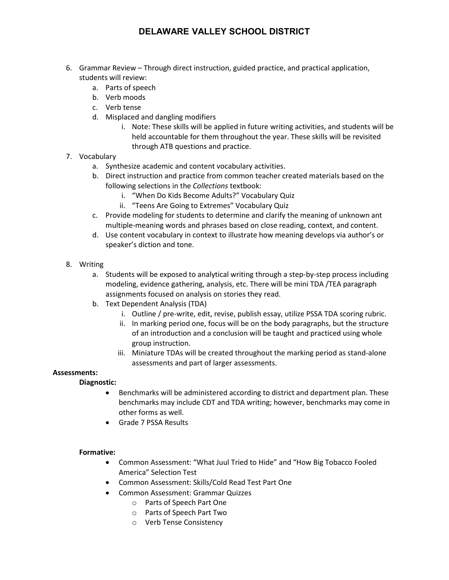- 6. Grammar Review Through direct instruction, guided practice, and practical application, students will review:
	- a. Parts of speech
	- b. Verb moods
	- c. Verb tense
	- d. Misplaced and dangling modifiers
		- i. Note: These skills will be applied in future writing activities, and students will be held accountable for them throughout the year. These skills will be revisited through ATB questions and practice.

#### 7. Vocabulary

- a. Synthesize academic and content vocabulary activities.
- b. Direct instruction and practice from common teacher created materials based on the following selections in the *Collections* textbook:
	- i. "When Do Kids Become Adults?" Vocabulary Quiz
	- ii. "Teens Are Going to Extremes" Vocabulary Quiz
- c. Provide modeling for students to determine and clarify the meaning of unknown ant multiple-meaning words and phrases based on close reading, context, and content.
- d. Use content vocabulary in context to illustrate how meaning develops via author's or speaker's diction and tone.
- 8. Writing
	- a. Students will be exposed to analytical writing through a step-by-step process including modeling, evidence gathering, analysis, etc. There will be mini TDA /TEA paragraph assignments focused on analysis on stories they read.
	- b. Text Dependent Analysis (TDA)
		- i. Outline / pre-write, edit, revise, publish essay, utilize PSSA TDA scoring rubric.
		- ii. In marking period one, focus will be on the body paragraphs, but the structure of an introduction and a conclusion will be taught and practiced using whole group instruction.
		- iii. Miniature TDAs will be created throughout the marking period as stand-alone assessments and part of larger assessments.

#### **Assessments:**

#### **Diagnostic:**

- Benchmarks will be administered according to district and department plan. These benchmarks may include CDT and TDA writing; however, benchmarks may come in other forms as well.
- Grade 7 PSSA Results

#### **Formative:**

- Common Assessment: "What Juul Tried to Hide" and "How Big Tobacco Fooled America" Selection Test
- Common Assessment: Skills/Cold Read Test Part One
	- Common Assessment: Grammar Quizzes
		- o Parts of Speech Part One
		- o Parts of Speech Part Two
		- o Verb Tense Consistency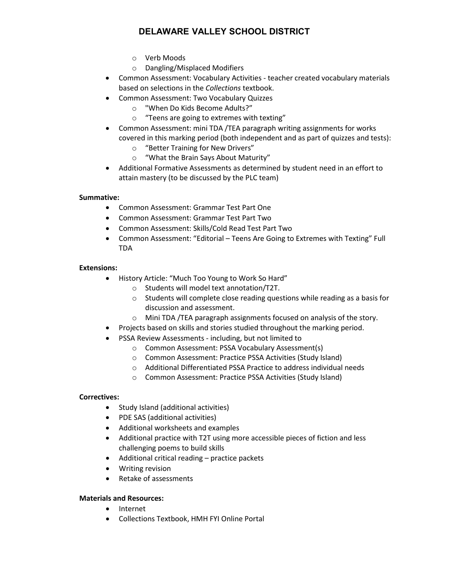- o Verb Moods
- o Dangling/Misplaced Modifiers
- Common Assessment: Vocabulary Activities teacher created vocabulary materials based on selections in the *Collections* textbook.
- Common Assessment: Two Vocabulary Quizzes
	- o "When Do Kids Become Adults?"
	- o "Teens are going to extremes with texting"
- Common Assessment: mini TDA /TEA paragraph writing assignments for works covered in this marking period (both independent and as part of quizzes and tests):
	- o "Better Training for New Drivers"
	- o "What the Brain Says About Maturity"
- Additional Formative Assessments as determined by student need in an effort to attain mastery (to be discussed by the PLC team)

#### **Summative:**

- Common Assessment: Grammar Test Part One
- Common Assessment: Grammar Test Part Two
- Common Assessment: Skills/Cold Read Test Part Two
- Common Assessment: "Editorial Teens Are Going to Extremes with Texting" Full TDA

#### **Extensions:**

- History Article: "Much Too Young to Work So Hard"
	- o Students will model text annotation/T2T.
	- o Students will complete close reading questions while reading as a basis for discussion and assessment.
	- o Mini TDA /TEA paragraph assignments focused on analysis of the story.
- Projects based on skills and stories studied throughout the marking period.
- PSSA Review Assessments including, but not limited to
	- o Common Assessment: PSSA Vocabulary Assessment(s)
	- o Common Assessment: Practice PSSA Activities (Study Island)
	- o Additional Differentiated PSSA Practice to address individual needs
	- o Common Assessment: Practice PSSA Activities (Study Island)

#### **Correctives:**

- Study Island (additional activities)
- PDE SAS (additional activities)
- Additional worksheets and examples
- Additional practice with T2T using more accessible pieces of fiction and less challenging poems to build skills
- Additional critical reading practice packets
- Writing revision
- Retake of assessments

#### **Materials and Resources:**

- Internet
- Collections Textbook, HMH FYI Online Portal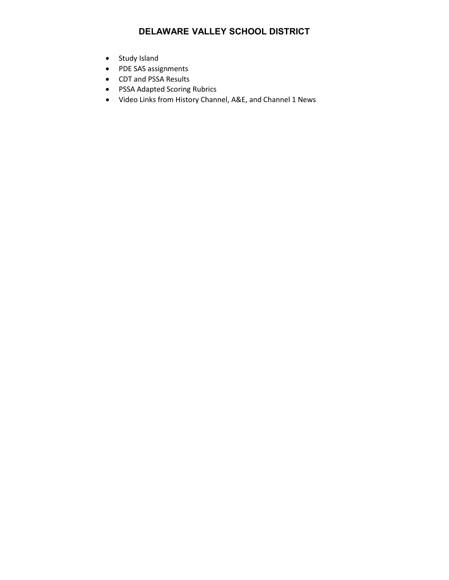- Study Island
- PDE SAS assignments
- CDT and PSSA Results
- PSSA Adapted Scoring Rubrics
- Video Links from History Channel, A&E, and Channel 1 News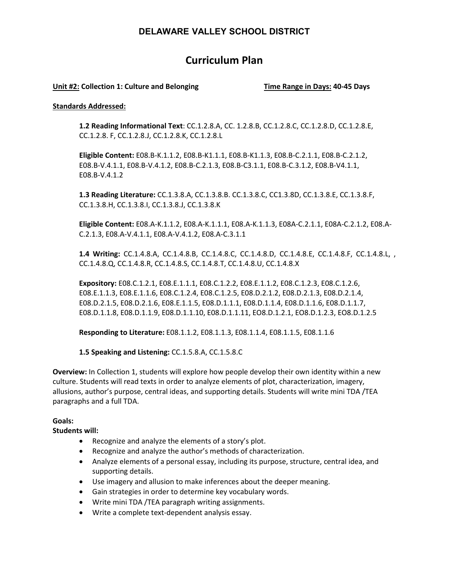# **Curriculum Plan**

#### **Unit #2: Collection 1: Culture and Belonging Time Range in Days: 40-45 Days**

#### **Standards Addressed:**

**1.2 Reading Informational Text**: CC.1.2.8.A, CC. 1.2.8.B, CC.1.2.8.C, CC.1.2.8.D, CC.1.2.8.E, CC.1.2.8. F, CC.1.2.8.J, CC.1.2.8.K, CC.1.2.8.L

**Eligible Content:** E08.B-K.1.1.2, E08.B-K1.1.1, E08.B-K1.1.3, E08.B-C.2.1.1, E08.B-C.2.1.2, E08.B-V.4.1.1, E08.B-V.4.1.2, E08.B-C.2.1.3, E08.B-C3.1.1, E08.B-C.3.1.2, E08.B-V4.1.1, E08.B-V.4.1.2

**1.3 Reading Literature:** CC.1.3.8.A, CC.1.3.8.B. CC.1.3.8.C, CC1.3.8D, CC.1.3.8.E, CC.1.3.8.F, CC.1.3.8.H, CC.1.3.8.I, CC.1.3.8.J, CC.1.3.8.K

**Eligible Content:** E08.A-K.1.1.2, E08.A-K.1.1.1, E08.A-K.1.1.3, E08A-C.2.1.1, E08A-C.2.1.2, E08.A-C.2.1.3, E08.A-V.4.1.1, E08.A-V.4.1.2, E08.A-C.3.1.1

**1.4 Writing:** CC.1.4.8.A, CC.1.4.8.B, CC.1.4.8.C, CC.1.4.8.D, CC.1.4.8.E, CC.1.4.8.F, CC.1.4.8.L, , CC.1.4.8.Q, CC.1.4.8.R, CC.1.4.8.S, CC.1.4.8.T, CC.1.4.8.U, CC.1.4.8.X

**Expository:** E08.C.1.2.1, E08.E.1.1.1, E08.C.1.2.2, E08.E.1.1.2, E08.C.1.2.3, E08.C.1.2.6, E08.E.1.1.3, E08.E.1.1.6, E08.C.1.2.4, E08.C.1.2.5, E08.D.2.1.2, E08.D.2.1.3, E08.D.2.1.4, E08.D.2.1.5, E08.D.2.1.6, E08.E.1.1.5, E08.D.1.1.1, E08.D.1.1.4, E08.D.1.1.6, E08.D.1.1.7, E08.D.1.1.8, E08.D.1.1.9, E08.D.1.1.10, E08.D.1.1.11, EO8.D.1.2.1, EO8.D.1.2.3, EO8.D.1.2.5

**Responding to Literature:** E08.1.1.2, E08.1.1.3, E08.1.1.4, E08.1.1.5, E08.1.1.6

**1.5 Speaking and Listening:** CC.1.5.8.A, CC.1.5.8.C

**Overview:** In Collection 1, students will explore how people develop their own identity within a new culture. Students will read texts in order to analyze elements of plot, characterization, imagery, allusions, author's purpose, central ideas, and supporting details. Students will write mini TDA /TEA paragraphs and a full TDA.

#### **Goals:**

**Students will:**

- Recognize and analyze the elements of a story's plot.
- Recognize and analyze the author's methods of characterization.
- Analyze elements of a personal essay, including its purpose, structure, central idea, and supporting details.
- Use imagery and allusion to make inferences about the deeper meaning.
- Gain strategies in order to determine key vocabulary words.
- Write mini TDA /TEA paragraph writing assignments.
- Write a complete text-dependent analysis essay.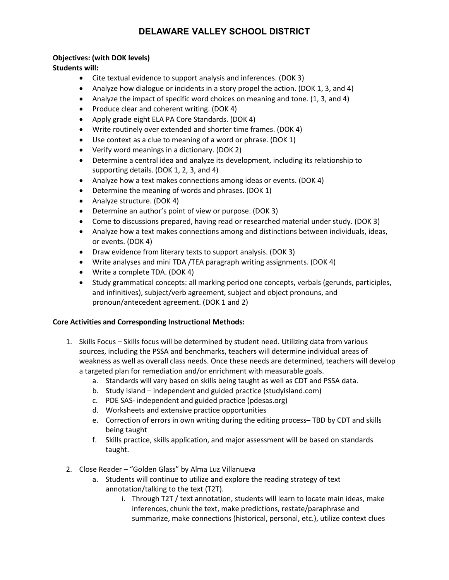#### **Objectives: (with DOK levels)**

**Students will:**

- Cite textual evidence to support analysis and inferences. (DOK 3)
- Analyze how dialogue or incidents in a story propel the action. (DOK 1, 3, and 4)
- Analyze the impact of specific word choices on meaning and tone. (1, 3, and 4)
- Produce clear and coherent writing. (DOK 4)
- Apply grade eight ELA PA Core Standards. (DOK 4)
- Write routinely over extended and shorter time frames. (DOK 4)
- Use context as a clue to meaning of a word or phrase. (DOK 1)
- Verify word meanings in a dictionary. (DOK 2)
- Determine a central idea and analyze its development, including its relationship to supporting details. (DOK 1, 2, 3, and 4)
- Analyze how a text makes connections among ideas or events. (DOK 4)
- Determine the meaning of words and phrases. (DOK 1)
- Analyze structure. (DOK 4)
- Determine an author's point of view or purpose. (DOK 3)
- Come to discussions prepared, having read or researched material under study. (DOK 3)
- Analyze how a text makes connections among and distinctions between individuals, ideas, or events. (DOK 4)
- Draw evidence from literary texts to support analysis. (DOK 3)
- Write analyses and mini TDA /TEA paragraph writing assignments. (DOK 4)
- Write a complete TDA. (DOK 4)
- Study grammatical concepts: all marking period one concepts, verbals (gerunds, participles, and infinitives), subject/verb agreement, subject and object pronouns, and pronoun/antecedent agreement. (DOK 1 and 2)

#### **Core Activities and Corresponding Instructional Methods:**

- 1. Skills Focus Skills focus will be determined by student need. Utilizing data from various sources, including the PSSA and benchmarks, teachers will determine individual areas of weakness as well as overall class needs. Once these needs are determined, teachers will develop a targeted plan for remediation and/or enrichment with measurable goals.
	- a. Standards will vary based on skills being taught as well as CDT and PSSA data.
	- b. Study Island independent and guided practice (studyisland.com)
	- c. PDE SAS- independent and guided practice (pdesas.org)
	- d. Worksheets and extensive practice opportunities
	- e. Correction of errors in own writing during the editing process– TBD by CDT and skills being taught
	- f. Skills practice, skills application, and major assessment will be based on standards taught.
- 2. Close Reader "Golden Glass" by Alma Luz Villanueva
	- a. Students will continue to utilize and explore the reading strategy of text annotation/talking to the text (T2T).
		- i. Through T2T / text annotation, students will learn to locate main ideas, make inferences, chunk the text, make predictions, restate/paraphrase and summarize, make connections (historical, personal, etc.), utilize context clues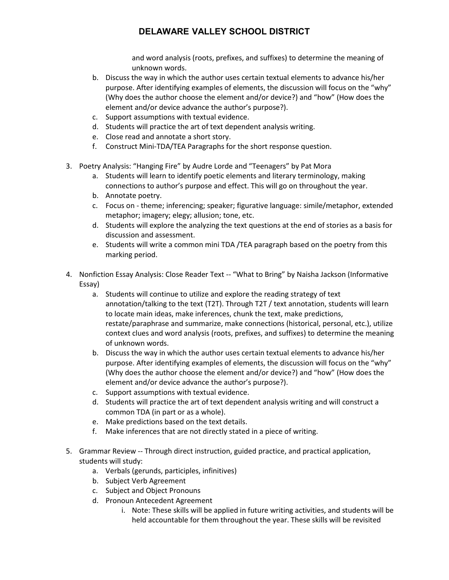and word analysis (roots, prefixes, and suffixes) to determine the meaning of unknown words.

- b. Discuss the way in which the author uses certain textual elements to advance his/her purpose. After identifying examples of elements, the discussion will focus on the "why" (Why does the author choose the element and/or device?) and "how" (How does the element and/or device advance the author's purpose?).
- c. Support assumptions with textual evidence.
- d. Students will practice the art of text dependent analysis writing.
- e. Close read and annotate a short story.
- f. Construct Mini-TDA/TEA Paragraphs for the short response question.
- 3. Poetry Analysis: "Hanging Fire" by Audre Lorde and "Teenagers" by Pat Mora
	- a. Students will learn to identify poetic elements and literary terminology, making connections to author's purpose and effect. This will go on throughout the year.
	- b. Annotate poetry.
	- c. Focus on theme; inferencing; speaker; figurative language: simile/metaphor, extended metaphor; imagery; elegy; allusion; tone, etc.
	- d. Students will explore the analyzing the text questions at the end of stories as a basis for discussion and assessment.
	- e. Students will write a common mini TDA /TEA paragraph based on the poetry from this marking period.
- 4. Nonfiction Essay Analysis: Close Reader Text -- "What to Bring" by Naisha Jackson (Informative Essay)
	- a. Students will continue to utilize and explore the reading strategy of text annotation/talking to the text (T2T). Through T2T / text annotation, students will learn to locate main ideas, make inferences, chunk the text, make predictions, restate/paraphrase and summarize, make connections (historical, personal, etc.), utilize context clues and word analysis (roots, prefixes, and suffixes) to determine the meaning of unknown words.
	- b. Discuss the way in which the author uses certain textual elements to advance his/her purpose. After identifying examples of elements, the discussion will focus on the "why" (Why does the author choose the element and/or device?) and "how" (How does the element and/or device advance the author's purpose?).
	- c. Support assumptions with textual evidence.
	- d. Students will practice the art of text dependent analysis writing and will construct a common TDA (in part or as a whole).
	- e. Make predictions based on the text details.
	- f. Make inferences that are not directly stated in a piece of writing.
- 5. Grammar Review -- Through direct instruction, guided practice, and practical application, students will study:
	- a. Verbals (gerunds, participles, infinitives)
	- b. Subject Verb Agreement
	- c. Subject and Object Pronouns
	- d. Pronoun Antecedent Agreement
		- i. Note: These skills will be applied in future writing activities, and students will be held accountable for them throughout the year. These skills will be revisited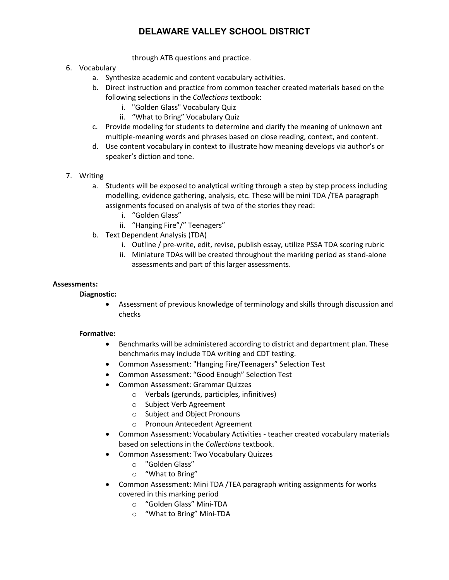through ATB questions and practice.

#### 6. Vocabulary

- a. Synthesize academic and content vocabulary activities.
- b. Direct instruction and practice from common teacher created materials based on the following selections in the *Collections* textbook:
	- i. "Golden Glass" Vocabulary Quiz
	- ii. "What to Bring" Vocabulary Quiz
- c. Provide modeling for students to determine and clarify the meaning of unknown ant multiple-meaning words and phrases based on close reading, context, and content.
- d. Use content vocabulary in context to illustrate how meaning develops via author's or speaker's diction and tone.
- 7. Writing
	- a. Students will be exposed to analytical writing through a step by step process including modelling, evidence gathering, analysis, etc. These will be mini TDA /TEA paragraph assignments focused on analysis of two of the stories they read:
		- i. "Golden Glass"
		- ii. "Hanging Fire"/" Teenagers"
	- b. Text Dependent Analysis (TDA)
		- i. Outline / pre-write, edit, revise, publish essay, utilize PSSA TDA scoring rubric
		- ii. Miniature TDAs will be created throughout the marking period as stand-alone assessments and part of this larger assessments.

#### **Assessments:**

#### **Diagnostic:**

• Assessment of previous knowledge of terminology and skills through discussion and checks

#### **Formative:**

- Benchmarks will be administered according to district and department plan. These benchmarks may include TDA writing and CDT testing.
- Common Assessment: "Hanging Fire/Teenagers" Selection Test
- Common Assessment: "Good Enough" Selection Test
- Common Assessment: Grammar Quizzes
	- o Verbals (gerunds, participles, infinitives)
	- o Subject Verb Agreement
	- o Subject and Object Pronouns
	- o Pronoun Antecedent Agreement
- Common Assessment: Vocabulary Activities teacher created vocabulary materials based on selections in the *Collections* textbook.
- Common Assessment: Two Vocabulary Quizzes
	- o "Golden Glass"
	- o "What to Bring"
- Common Assessment: Mini TDA /TEA paragraph writing assignments for works covered in this marking period
	- o "Golden Glass" Mini-TDA
	- o "What to Bring" Mini-TDA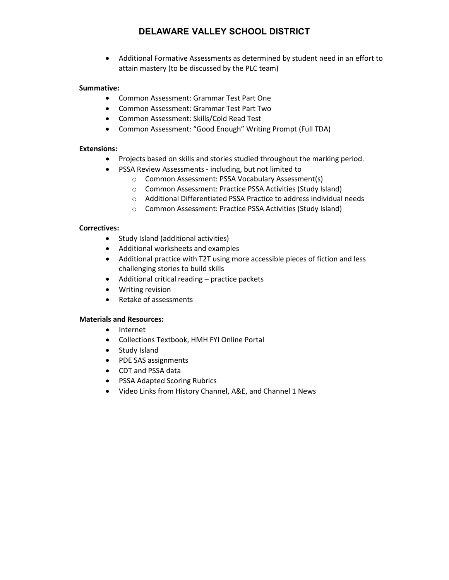• Additional Formative Assessments as determined by student need in an effort to attain mastery (to be discussed by the PLC team)

#### **Summative:**

- Common Assessment: Grammar Test Part One
- Common Assessment: Grammar Test Part Two
- Common Assessment: Skills/Cold Read Test
- Common Assessment: "Good Enough" Writing Prompt (Full TDA)

#### **Extensions:**

- Projects based on skills and stories studied throughout the marking period.
- PSSA Review Assessments including, but not limited to
	- o Common Assessment: PSSA Vocabulary Assessment(s)
	- o Common Assessment: Practice PSSA Activities (Study Island)
	- o Additional Differentiated PSSA Practice to address individual needs
	- o Common Assessment: Practice PSSA Activities (Study Island)

#### **Correctives:**

- Study Island (additional activities)
- Additional worksheets and examples
- Additional practice with T2T using more accessible pieces of fiction and less challenging stories to build skills
- Additional critical reading practice packets
- Writing revision
- Retake of assessments

#### **Materials and Resources:**

- Internet
- Collections Textbook, HMH FYI Online Portal
- Study Island
- PDE SAS assignments
- CDT and PSSA data
- PSSA Adapted Scoring Rubrics
- Video Links from History Channel, A&E, and Channel 1 News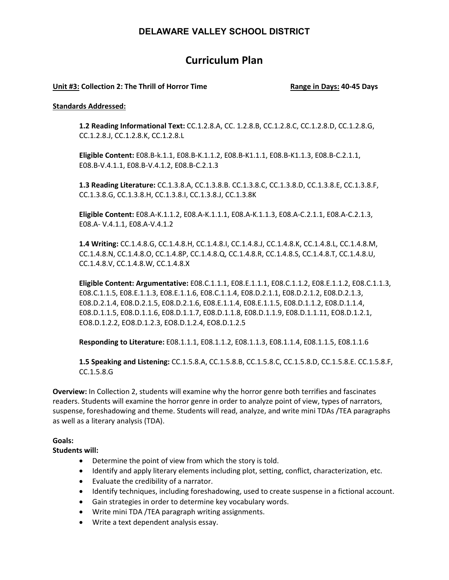# **Curriculum Plan**

#### **Unit #3: Collection 2: The Thrill of Horror Time Range in Days: 40-45 Days**

#### **Standards Addressed:**

**1.2 Reading Informational Text:** CC.1.2.8.A, CC. 1.2.8.B, CC.1.2.8.C, CC.1.2.8.D, CC.1.2.8.G, CC.1.2.8.J, CC.1.2.8.K, CC.1.2.8.L

**Eligible Content:** E08.B-k.1.1, E08.B-K.1.1.2, E08.B-K1.1.1, E08.B-K1.1.3, E08.B-C.2.1.1, E08.B-V.4.1.1, E08.B-V.4.1.2, E08.B-C.2.1.3

**1.3 Reading Literature:** CC.1.3.8.A, CC.1.3.8.B. CC.1.3.8.C, CC.1.3.8.D, CC.1.3.8.E, CC.1.3.8.F, CC.1.3.8.G, CC.1.3.8.H, CC.1.3.8.I, CC.1.3.8.J, CC.1.3.8K

**Eligible Content:** E08.A-K.1.1.2, E08.A-K.1.1.1, E08.A-K.1.1.3, E08.A-C.2.1.1, E08.A-C.2.1.3, E08.A- V.4.1.1, E08.A-V.4.1.2

**1.4 Writing:** CC.1.4.8.G, CC.1.4.8.H, CC.1.4.8.I, CC.1.4.8.J, CC.1.4.8.K, CC.1.4.8.L, CC.1.4.8.M, CC.1.4.8.N, CC.1.4.8.O, CC.1.4.8P, CC.1.4.8.Q, CC.1.4.8.R, CC.1.4.8.S, CC.1.4.8.T, CC.1.4.8.U, CC.1.4.8.V, CC.1.4.8.W, CC.1.4.8.X

**Eligible Content: Argumentative:** E08.C.1.1.1, E08.E.1.1.1, E08.C.1.1.2, E08.E.1.1.2, E08.C.1.1.3, E08.C.1.1.5, E08.E.1.1.3, E08.E.1.1.6, E08.C.1.1.4, E08.D.2.1.1, E08.D.2.1.2, E08.D.2.1.3, E08.D.2.1.4, E08.D.2.1.5, E08.D.2.1.6, E08.E.1.1.4, E08.E.1.1.5, E08.D.1.1.2, E08.D.1.1.4, E08.D.1.1.5, E08.D.1.1.6, E08.D.1.1.7, E08.D.1.1.8, E08.D.1.1.9, E08.D.1.1.11, EO8.D.1.2.1, EO8.D.1.2.2, EO8.D.1.2.3, EO8.D.1.2.4, EO8.D.1.2.5

**Responding to Literature:** E08.1.1.1, E08.1.1.2, E08.1.1.3, E08.1.1.4, E08.1.1.5, E08.1.1.6

**1.5 Speaking and Listening:** CC.1.5.8.A, CC.1.5.8.B, CC.1.5.8.C, CC.1.5.8.D, CC.1.5.8.E. CC.1.5.8.F, CC.1.5.8.G

**Overview:** In Collection 2, students will examine why the horror genre both terrifies and fascinates readers. Students will examine the horror genre in order to analyze point of view, types of narrators, suspense, foreshadowing and theme. Students will read, analyze, and write mini TDAs /TEA paragraphs as well as a literary analysis (TDA).

#### **Goals:**

**Students will:**

- Determine the point of view from which the story is told.
- Identify and apply literary elements including plot, setting, conflict, characterization, etc.
- Evaluate the credibility of a narrator.
- Identify techniques, including foreshadowing, used to create suspense in a fictional account.
- Gain strategies in order to determine key vocabulary words.
- Write mini TDA /TEA paragraph writing assignments.
- Write a text dependent analysis essay.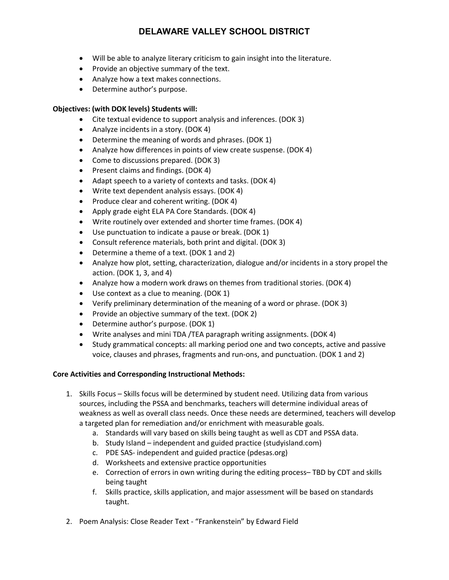- Will be able to analyze literary criticism to gain insight into the literature.
- Provide an objective summary of the text.
- Analyze how a text makes connections.
- Determine author's purpose.

#### **Objectives: (with DOK levels) Students will:**

- Cite textual evidence to support analysis and inferences. (DOK 3)
- Analyze incidents in a story. (DOK 4)
- Determine the meaning of words and phrases. (DOK 1)
- Analyze how differences in points of view create suspense. (DOK 4)
- Come to discussions prepared. (DOK 3)
- Present claims and findings. (DOK 4)
- Adapt speech to a variety of contexts and tasks. (DOK 4)
- Write text dependent analysis essays. (DOK 4)
- Produce clear and coherent writing. (DOK 4)
- Apply grade eight ELA PA Core Standards. (DOK 4)
- Write routinely over extended and shorter time frames. (DOK 4)
- Use punctuation to indicate a pause or break. (DOK 1)
- Consult reference materials, both print and digital. (DOK 3)
- Determine a theme of a text. (DOK 1 and 2)
- Analyze how plot, setting, characterization, dialogue and/or incidents in a story propel the action. (DOK 1, 3, and 4)
- Analyze how a modern work draws on themes from traditional stories. (DOK 4)
- Use context as a clue to meaning. (DOK 1)
- Verify preliminary determination of the meaning of a word or phrase. (DOK 3)
- Provide an objective summary of the text. (DOK 2)
- Determine author's purpose. (DOK 1)
- Write analyses and mini TDA /TEA paragraph writing assignments. (DOK 4)
- Study grammatical concepts: all marking period one and two concepts, active and passive voice, clauses and phrases, fragments and run-ons, and punctuation. (DOK 1 and 2)

#### **Core Activities and Corresponding Instructional Methods:**

- 1. Skills Focus Skills focus will be determined by student need. Utilizing data from various sources, including the PSSA and benchmarks, teachers will determine individual areas of weakness as well as overall class needs. Once these needs are determined, teachers will develop a targeted plan for remediation and/or enrichment with measurable goals.
	- a. Standards will vary based on skills being taught as well as CDT and PSSA data.
	- b. Study Island independent and guided practice (studyisland.com)
	- c. PDE SAS- independent and guided practice (pdesas.org)
	- d. Worksheets and extensive practice opportunities
	- e. Correction of errors in own writing during the editing process– TBD by CDT and skills being taught
	- f. Skills practice, skills application, and major assessment will be based on standards taught.
- 2. Poem Analysis: Close Reader Text "Frankenstein" by Edward Field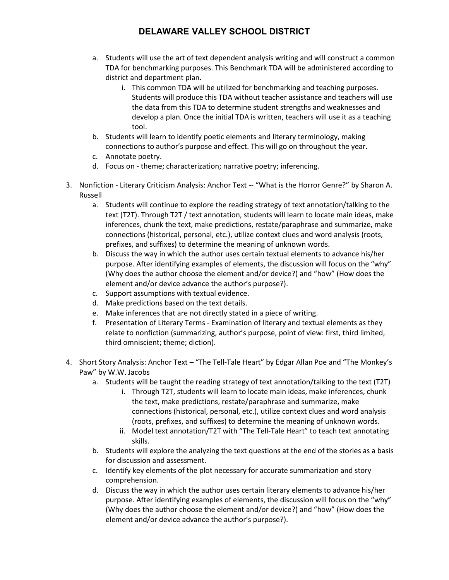- a. Students will use the art of text dependent analysis writing and will construct a common TDA for benchmarking purposes. This Benchmark TDA will be administered according to district and department plan.
	- i. This common TDA will be utilized for benchmarking and teaching purposes. Students will produce this TDA without teacher assistance and teachers will use the data from this TDA to determine student strengths and weaknesses and develop a plan. Once the initial TDA is written, teachers will use it as a teaching tool.
- b. Students will learn to identify poetic elements and literary terminology, making connections to author's purpose and effect. This will go on throughout the year.
- c. Annotate poetry.
- d. Focus on theme; characterization; narrative poetry; inferencing.
- 3. Nonfiction Literary Criticism Analysis: Anchor Text -- "What is the Horror Genre?" by Sharon A. Russell
	- a. Students will continue to explore the reading strategy of text annotation/talking to the text (T2T). Through T2T / text annotation, students will learn to locate main ideas, make inferences, chunk the text, make predictions, restate/paraphrase and summarize, make connections (historical, personal, etc.), utilize context clues and word analysis (roots, prefixes, and suffixes) to determine the meaning of unknown words.
	- b. Discuss the way in which the author uses certain textual elements to advance his/her purpose. After identifying examples of elements, the discussion will focus on the "why" (Why does the author choose the element and/or device?) and "how" (How does the element and/or device advance the author's purpose?).
	- c. Support assumptions with textual evidence.
	- d. Make predictions based on the text details.
	- e. Make inferences that are not directly stated in a piece of writing.
	- f. Presentation of Literary Terms Examination of literary and textual elements as they relate to nonfiction (summarizing, author's purpose, point of view: first, third limited, third omniscient; theme; diction).
- 4. Short Story Analysis: Anchor Text "The Tell-Tale Heart" by Edgar Allan Poe and "The Monkey's Paw" by W.W. Jacobs
	- a. Students will be taught the reading strategy of text annotation/talking to the text (T2T)
		- i. Through T2T, students will learn to locate main ideas, make inferences, chunk the text, make predictions, restate/paraphrase and summarize, make connections (historical, personal, etc.), utilize context clues and word analysis (roots, prefixes, and suffixes) to determine the meaning of unknown words.
		- ii. Model text annotation/T2T with "The Tell-Tale Heart" to teach text annotating skills.
	- b. Students will explore the analyzing the text questions at the end of the stories as a basis for discussion and assessment.
	- c. Identify key elements of the plot necessary for accurate summarization and story comprehension.
	- d. Discuss the way in which the author uses certain literary elements to advance his/her purpose. After identifying examples of elements, the discussion will focus on the "why" (Why does the author choose the element and/or device?) and "how" (How does the element and/or device advance the author's purpose?).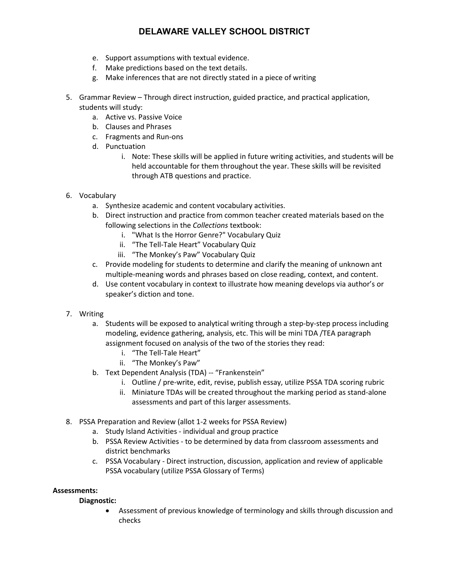- e. Support assumptions with textual evidence.
- f. Make predictions based on the text details.
- g. Make inferences that are not directly stated in a piece of writing
- 5. Grammar Review Through direct instruction, guided practice, and practical application, students will study:
	- a. Active vs. Passive Voice
	- b. Clauses and Phrases
	- c. Fragments and Run-ons
	- d. Punctuation
		- i. Note: These skills will be applied in future writing activities, and students will be held accountable for them throughout the year. These skills will be revisited through ATB questions and practice.
- 6. Vocabulary
	- a. Synthesize academic and content vocabulary activities.
	- b. Direct instruction and practice from common teacher created materials based on the following selections in the *Collections* textbook:
		- i. "What Is the Horror Genre?" Vocabulary Quiz
		- ii. "The Tell-Tale Heart" Vocabulary Quiz
		- iii. "The Monkey's Paw" Vocabulary Quiz
	- c. Provide modeling for students to determine and clarify the meaning of unknown ant multiple-meaning words and phrases based on close reading, context, and content.
	- d. Use content vocabulary in context to illustrate how meaning develops via author's or speaker's diction and tone.
- 7. Writing
	- a. Students will be exposed to analytical writing through a step-by-step process including modeling, evidence gathering, analysis, etc. This will be mini TDA /TEA paragraph assignment focused on analysis of the two of the stories they read:
		- i. "The Tell-Tale Heart"
		- ii. "The Monkey's Paw"
	- b. Text Dependent Analysis (TDA) -- "Frankenstein"
		- i. Outline / pre-write, edit, revise, publish essay, utilize PSSA TDA scoring rubric
		- ii. Miniature TDAs will be created throughout the marking period as stand-alone assessments and part of this larger assessments.
- 8. PSSA Preparation and Review (allot 1-2 weeks for PSSA Review)
	- a. Study Island Activities individual and group practice
	- b. PSSA Review Activities to be determined by data from classroom assessments and district benchmarks
	- c. PSSA Vocabulary Direct instruction, discussion, application and review of applicable PSSA vocabulary (utilize PSSA Glossary of Terms)

#### **Assessments:**

#### **Diagnostic:**

• Assessment of previous knowledge of terminology and skills through discussion and checks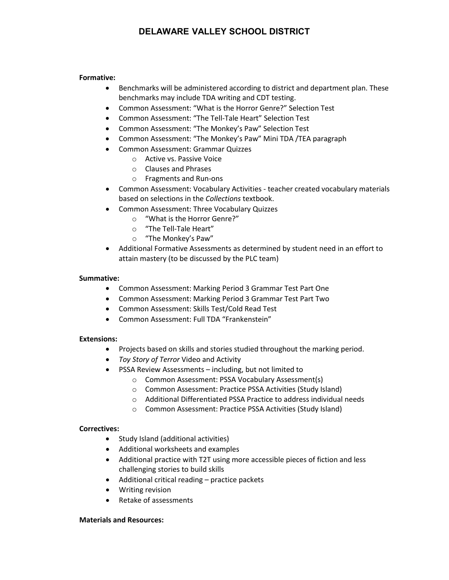#### **Formative:**

- Benchmarks will be administered according to district and department plan. These benchmarks may include TDA writing and CDT testing.
- Common Assessment: "What is the Horror Genre?" Selection Test
- Common Assessment: "The Tell-Tale Heart" Selection Test
- Common Assessment: "The Monkey's Paw" Selection Test
- Common Assessment: "The Monkey's Paw" Mini TDA /TEA paragraph
- Common Assessment: Grammar Quizzes
	- o Active vs. Passive Voice
	- o Clauses and Phrases
	- o Fragments and Run-ons
- Common Assessment: Vocabulary Activities teacher created vocabulary materials based on selections in the *Collections* textbook.
- Common Assessment: Three Vocabulary Quizzes
	- o "What is the Horror Genre?"
	- o "The Tell-Tale Heart"
	- o "The Monkey's Paw"
- Additional Formative Assessments as determined by student need in an effort to attain mastery (to be discussed by the PLC team)

#### **Summative:**

- Common Assessment: Marking Period 3 Grammar Test Part One
- Common Assessment: Marking Period 3 Grammar Test Part Two
- Common Assessment: Skills Test/Cold Read Test
- Common Assessment: Full TDA "Frankenstein"

#### **Extensions:**

- Projects based on skills and stories studied throughout the marking period.
- *Toy Story of Terror* Video and Activity
- PSSA Review Assessments including, but not limited to
	- o Common Assessment: PSSA Vocabulary Assessment(s)
	- o Common Assessment: Practice PSSA Activities (Study Island)
	- o Additional Differentiated PSSA Practice to address individual needs
	- o Common Assessment: Practice PSSA Activities (Study Island)

#### **Correctives:**

- Study Island (additional activities)
- Additional worksheets and examples
- Additional practice with T2T using more accessible pieces of fiction and less challenging stories to build skills
- Additional critical reading practice packets
- Writing revision
- Retake of assessments

#### **Materials and Resources:**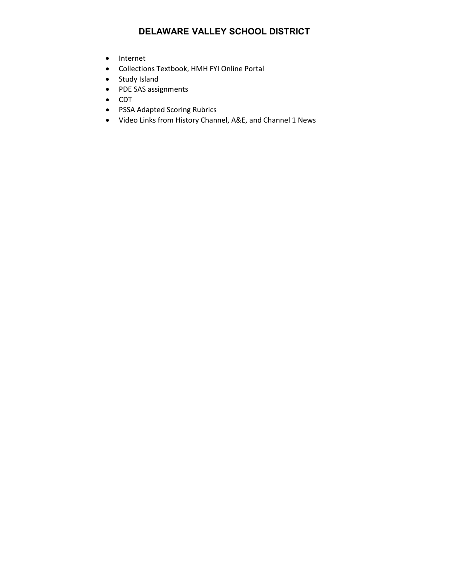- Internet
- Collections Textbook, HMH FYI Online Portal
- Study Island
- PDE SAS assignments
- CDT
- PSSA Adapted Scoring Rubrics
- Video Links from History Channel, A&E, and Channel 1 News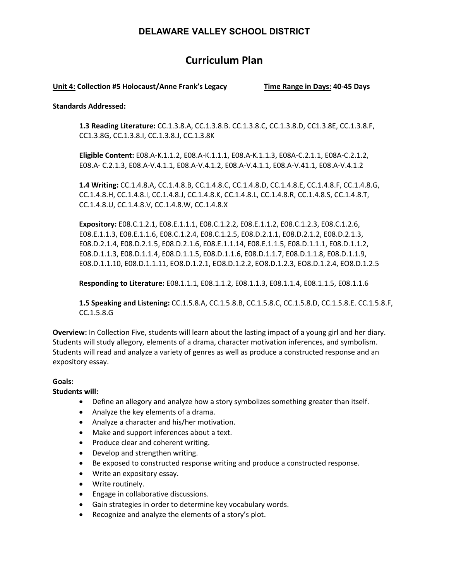# **Curriculum Plan**

#### **Unit 4: Collection #5 Holocaust/Anne Frank's Legacy Time Range in Days: 40-45 Days**

#### **Standards Addressed:**

**1.3 Reading Literature:** CC.1.3.8.A, CC.1.3.8.B. CC.1.3.8.C, CC.1.3.8.D, CC1.3.8E, CC.1.3.8.F, CC1.3.8G, CC.1.3.8.I, CC.1.3.8.J, CC.1.3.8K

**Eligible Content:** E08.A-K.1.1.2, E08.A-K.1.1.1, E08.A-K.1.1.3, E08A-C.2.1.1, E08A-C.2.1.2, E08.A- C.2.1.3, E08.A-V.4.1.1, E08.A-V.4.1.2, E08.A-V.4.1.1, E08.A-V.41.1, E08.A-V.4.1.2

**1.4 Writing:** CC.1.4.8.A, CC.1.4.8.B, CC.1.4.8.C, CC.1.4.8.D, CC.1.4.8.E, CC.1.4.8.F, CC.1.4.8.G, CC.1.4.8.H, CC.1.4.8.I, CC.1.4.8.J, CC.1.4.8.K, CC.1.4.8.L, CC.1.4.8.R, CC.1.4.8.S, CC.1.4.8.T, CC.1.4.8.U, CC.1.4.8.V, CC.1.4.8.W, CC.1.4.8.X

**Expository:** E08.C.1.2.1, E08.E.1.1.1, E08.C.1.2.2, E08.E.1.1.2, E08.C.1.2.3, E08.C.1.2.6, E08.E.1.1.3, E08.E.1.1.6, E08.C.1.2.4, E08.C.1.2.5, E08.D.2.1.1, E08.D.2.1.2, E08.D.2.1.3, E08.D.2.1.4, E08.D.2.1.5, E08.D.2.1.6, E08.E.1.1.14, E08.E.1.1.5, E08.D.1.1.1, E08.D.1.1.2, E08.D.1.1.3, E08.D.1.1.4, E08.D.1.1.5, E08.D.1.1.6, E08.D.1.1.7, E08.D.1.1.8, E08.D.1.1.9, E08.D.1.1.10, E08.D.1.1.11, EO8.D.1.2.1, EO8.D.1.2.2, EO8.D.1.2.3, EO8.D.1.2.4, EO8.D.1.2.5

**Responding to Literature:** E08.1.1.1, E08.1.1.2, E08.1.1.3, E08.1.1.4, E08.1.1.5, E08.1.1.6

**1.5 Speaking and Listening:** CC.1.5.8.A, CC.1.5.8.B, CC.1.5.8.C, CC.1.5.8.D, CC.1.5.8.E. CC.1.5.8.F, CC.1.5.8.G

**Overview:** In Collection Five, students will learn about the lasting impact of a young girl and her diary. Students will study allegory, elements of a drama, character motivation inferences, and symbolism. Students will read and analyze a variety of genres as well as produce a constructed response and an expository essay.

#### **Goals:**

**Students will:**

- Define an allegory and analyze how a story symbolizes something greater than itself.
- Analyze the key elements of a drama.
- Analyze a character and his/her motivation.
- Make and support inferences about a text.
- Produce clear and coherent writing.
- Develop and strengthen writing.
- Be exposed to constructed response writing and produce a constructed response.
- Write an expository essay.
- Write routinely.
- Engage in collaborative discussions.
- Gain strategies in order to determine key vocabulary words.
- Recognize and analyze the elements of a story's plot.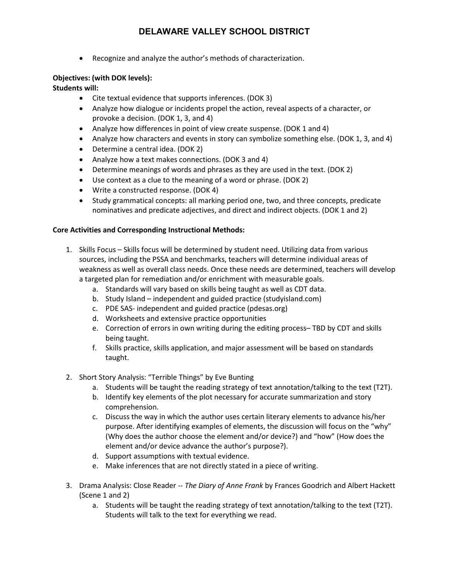• Recognize and analyze the author's methods of characterization.

#### **Objectives: (with DOK levels):**

**Students will:**

- Cite textual evidence that supports inferences. (DOK 3)
- Analyze how dialogue or incidents propel the action, reveal aspects of a character, or provoke a decision. (DOK 1, 3, and 4)
- Analyze how differences in point of view create suspense. (DOK 1 and 4)
- Analyze how characters and events in story can symbolize something else. (DOK 1, 3, and 4)
- Determine a central idea. (DOK 2)
- Analyze how a text makes connections. (DOK 3 and 4)
- Determine meanings of words and phrases as they are used in the text. (DOK 2)
- Use context as a clue to the meaning of a word or phrase. (DOK 2)
- Write a constructed response. (DOK 4)
- Study grammatical concepts: all marking period one, two, and three concepts, predicate nominatives and predicate adjectives, and direct and indirect objects. (DOK 1 and 2)

#### **Core Activities and Corresponding Instructional Methods:**

- 1. Skills Focus Skills focus will be determined by student need. Utilizing data from various sources, including the PSSA and benchmarks, teachers will determine individual areas of weakness as well as overall class needs. Once these needs are determined, teachers will develop a targeted plan for remediation and/or enrichment with measurable goals.
	- a. Standards will vary based on skills being taught as well as CDT data.
	- b. Study Island independent and guided practice (studyisland.com)
	- c. PDE SAS- independent and guided practice (pdesas.org)
	- d. Worksheets and extensive practice opportunities
	- e. Correction of errors in own writing during the editing process– TBD by CDT and skills being taught.
	- f. Skills practice, skills application, and major assessment will be based on standards taught.
- 2. Short Story Analysis: "Terrible Things" by Eve Bunting
	- a. Students will be taught the reading strategy of text annotation/talking to the text (T2T).
	- b. Identify key elements of the plot necessary for accurate summarization and story comprehension.
	- c. Discuss the way in which the author uses certain literary elements to advance his/her purpose. After identifying examples of elements, the discussion will focus on the "why" (Why does the author choose the element and/or device?) and "how" (How does the element and/or device advance the author's purpose?).
	- d. Support assumptions with textual evidence.
	- e. Make inferences that are not directly stated in a piece of writing.
- 3. Drama Analysis: Close Reader -- *The Diary of Anne Frank* by Frances Goodrich and Albert Hackett (Scene 1 and 2)
	- a. Students will be taught the reading strategy of text annotation/talking to the text (T2T). Students will talk to the text for everything we read.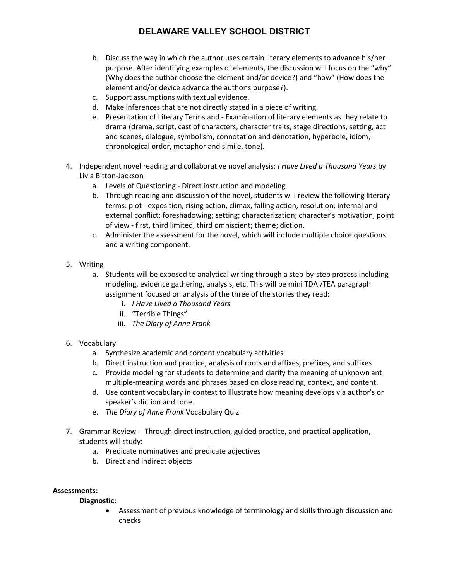- b. Discuss the way in which the author uses certain literary elements to advance his/her purpose. After identifying examples of elements, the discussion will focus on the "why" (Why does the author choose the element and/or device?) and "how" (How does the element and/or device advance the author's purpose?).
- c. Support assumptions with textual evidence.
- d. Make inferences that are not directly stated in a piece of writing.
- e. Presentation of Literary Terms and Examination of literary elements as they relate to drama (drama, script, cast of characters, character traits, stage directions, setting, act and scenes, dialogue, symbolism, connotation and denotation, hyperbole, idiom, chronological order, metaphor and simile, tone).
- 4. Independent novel reading and collaborative novel analysis: *I Have Lived a Thousand Years* by Livia Bitton-Jackson
	- a. Levels of Questioning Direct instruction and modeling
	- b. Through reading and discussion of the novel, students will review the following literary terms: plot - exposition, rising action, climax, falling action, resolution; internal and external conflict; foreshadowing; setting; characterization; character's motivation, point of view - first, third limited, third omniscient; theme; diction.
	- c. Administer the assessment for the novel, which will include multiple choice questions and a writing component.
- 5. Writing
	- a. Students will be exposed to analytical writing through a step-by-step process including modeling, evidence gathering, analysis, etc. This will be mini TDA /TEA paragraph assignment focused on analysis of the three of the stories they read:
		- i. *I Have Lived a Thousand Years*
		- ii. "Terrible Things"
		- iii. *The Diary of Anne Frank*
- 6. Vocabulary
	- a. Synthesize academic and content vocabulary activities.
	- b. Direct instruction and practice, analysis of roots and affixes, prefixes, and suffixes
	- c. Provide modeling for students to determine and clarify the meaning of unknown ant multiple-meaning words and phrases based on close reading, context, and content.
	- d. Use content vocabulary in context to illustrate how meaning develops via author's or speaker's diction and tone.
	- e. *The Diary of Anne Frank* Vocabulary Quiz
- 7. Grammar Review -- Through direct instruction, guided practice, and practical application, students will study:
	- a. Predicate nominatives and predicate adjectives
	- b. Direct and indirect objects

#### **Assessments:**

#### **Diagnostic:**

• Assessment of previous knowledge of terminology and skills through discussion and checks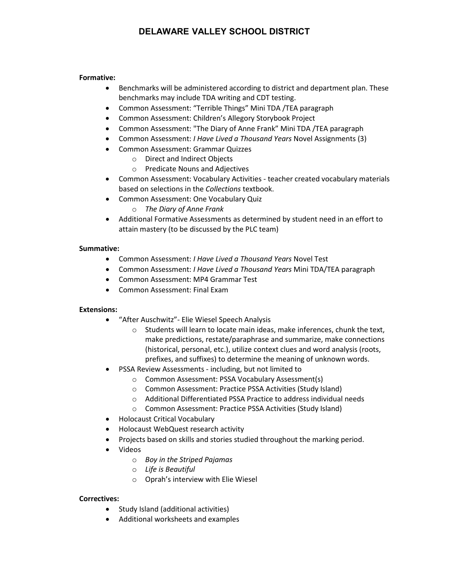#### **Formative:**

- Benchmarks will be administered according to district and department plan. These benchmarks may include TDA writing and CDT testing.
- Common Assessment: "Terrible Things" Mini TDA /TEA paragraph
- Common Assessment: Children's Allegory Storybook Project
- Common Assessment: "The Diary of Anne Frank" Mini TDA /TEA paragraph
- Common Assessment: *I Have Lived a Thousand Years* Novel Assignments (3)
- Common Assessment: Grammar Quizzes
	- o Direct and Indirect Objects
	- o Predicate Nouns and Adjectives
- Common Assessment: Vocabulary Activities teacher created vocabulary materials based on selections in the *Collections* textbook.
- Common Assessment: One Vocabulary Quiz
	- o *The Diary of Anne Frank*
- Additional Formative Assessments as determined by student need in an effort to attain mastery (to be discussed by the PLC team)

#### **Summative:**

- Common Assessment: *I Have Lived a Thousand Years* Novel Test
- Common Assessment: *I Have Lived a Thousand Years* Mini TDA/TEA paragraph
- Common Assessment: MP4 Grammar Test
- Common Assessment: Final Exam

#### **Extensions:**

- "After Auschwitz"- Elie Wiesel Speech Analysis
	- o Students will learn to locate main ideas, make inferences, chunk the text, make predictions, restate/paraphrase and summarize, make connections (historical, personal, etc.), utilize context clues and word analysis (roots, prefixes, and suffixes) to determine the meaning of unknown words.
- PSSA Review Assessments including, but not limited to
	- o Common Assessment: PSSA Vocabulary Assessment(s)
	- o Common Assessment: Practice PSSA Activities (Study Island)
	- o Additional Differentiated PSSA Practice to address individual needs
	- o Common Assessment: Practice PSSA Activities (Study Island)
- Holocaust Critical Vocabulary
- Holocaust WebQuest research activity
- Projects based on skills and stories studied throughout the marking period.
- Videos
	- o *Boy in the Striped Pajamas*
	- o *Life is Beautiful*
	- o Oprah's interview with Elie Wiesel

#### **Correctives:**

- Study Island (additional activities)
- Additional worksheets and examples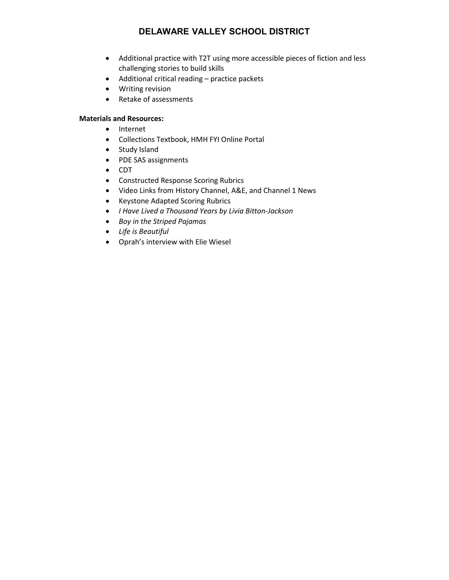- Additional practice with T2T using more accessible pieces of fiction and less challenging stories to build skills
- Additional critical reading practice packets
- Writing revision
- Retake of assessments

#### **Materials and Resources:**

- Internet
- Collections Textbook, HMH FYI Online Portal
- Study Island
- PDE SAS assignments
- CDT
- Constructed Response Scoring Rubrics
- Video Links from History Channel, A&E, and Channel 1 News
- Keystone Adapted Scoring Rubrics
- *I Have Lived a Thousand Years by Livia Bitton-Jackson*
- *Boy in the Striped Pajamas*
- *Life is Beautiful*
- Oprah's interview with Elie Wiesel